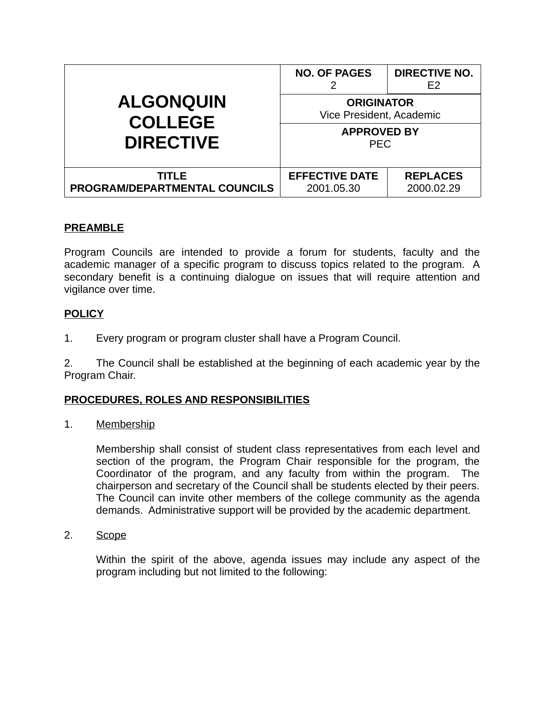| <b>ALGONQUIN</b><br><b>COLLEGE</b><br><b>DIRECTIVE</b> | <b>NO. OF PAGES</b>                           | <b>DIRECTIVE NO.</b><br>F <sub>2</sub> |
|--------------------------------------------------------|-----------------------------------------------|----------------------------------------|
|                                                        | <b>ORIGINATOR</b><br>Vice President, Academic |                                        |
|                                                        | <b>APPROVED BY</b><br><b>PEC</b>              |                                        |
| TITLE<br>PROGRAM/DEPARTMENTAL COUNCILS                 | <b>EFFECTIVE DATE</b><br>2001.05.30           | <b>REPLACES</b><br>2000.02.29          |

# **PREAMBLE**

Program Councils are intended to provide a forum for students, faculty and the academic manager of a specific program to discuss topics related to the program. A secondary benefit is a continuing dialogue on issues that will require attention and vigilance over time.

### **POLICY**

1. Every program or program cluster shall have a Program Council.

2. The Council shall be established at the beginning of each academic year by the Program Chair.

#### **PROCEDURES, ROLES AND RESPONSIBILITIES**

1. Membership

Membership shall consist of student class representatives from each level and section of the program, the Program Chair responsible for the program, the Coordinator of the program, and any faculty from within the program. The chairperson and secretary of the Council shall be students elected by their peers. The Council can invite other members of the college community as the agenda demands. Administrative support will be provided by the academic department.

2. Scope

Within the spirit of the above, agenda issues may include any aspect of the program including but not limited to the following: